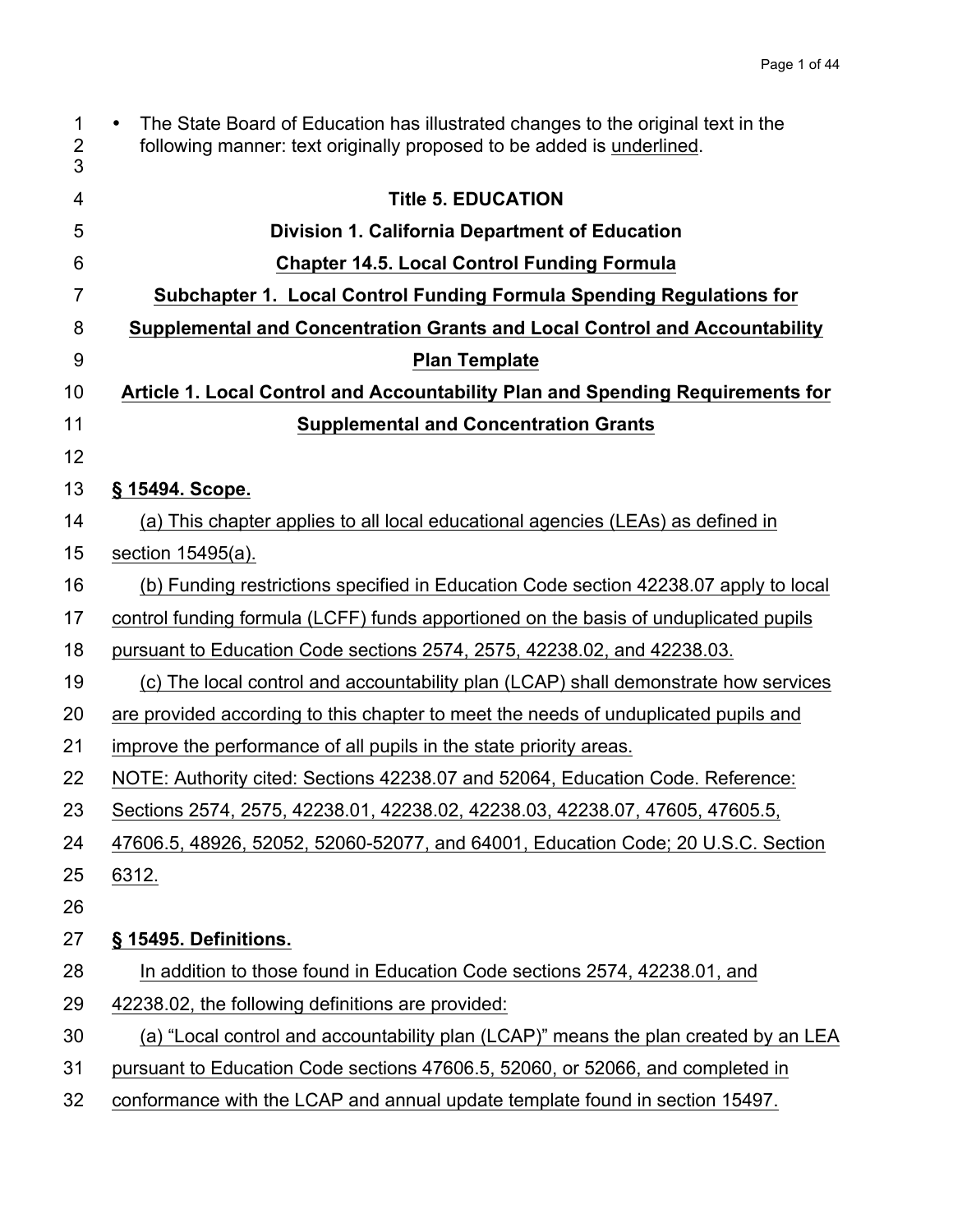| $\mathbf{1}$<br>$\overline{2}$<br>3 | The State Board of Education has illustrated changes to the original text in the<br>$\bullet$<br>following manner: text originally proposed to be added is underlined. |
|-------------------------------------|------------------------------------------------------------------------------------------------------------------------------------------------------------------------|
| 4                                   | <b>Title 5. EDUCATION</b>                                                                                                                                              |
| 5                                   | <b>Division 1. California Department of Education</b>                                                                                                                  |
| 6                                   | <b>Chapter 14.5. Local Control Funding Formula</b>                                                                                                                     |
| $\overline{7}$                      | Subchapter 1. Local Control Funding Formula Spending Regulations for                                                                                                   |
| 8                                   | Supplemental and Concentration Grants and Local Control and Accountability                                                                                             |
| 9                                   | <b>Plan Template</b>                                                                                                                                                   |
| 10                                  | Article 1. Local Control and Accountability Plan and Spending Requirements for                                                                                         |
| 11                                  | <b>Supplemental and Concentration Grants</b>                                                                                                                           |
| 12                                  |                                                                                                                                                                        |
| 13                                  | § 15494. Scope.                                                                                                                                                        |
| 14                                  | (a) This chapter applies to all local educational agencies (LEAs) as defined in                                                                                        |
| 15                                  | section 15495(a).                                                                                                                                                      |
| 16                                  | (b) Funding restrictions specified in Education Code section 42238.07 apply to local                                                                                   |
| 17                                  | control funding formula (LCFF) funds apportioned on the basis of unduplicated pupils                                                                                   |
| 18                                  | pursuant to Education Code sections 2574, 2575, 42238.02, and 42238.03.                                                                                                |
| 19                                  | (c) The local control and accountability plan (LCAP) shall demonstrate how services                                                                                    |
| 20                                  | are provided according to this chapter to meet the needs of unduplicated pupils and                                                                                    |
| 21                                  | improve the performance of all pupils in the state priority areas.                                                                                                     |
| 22                                  | NOTE: Authority cited: Sections 42238.07 and 52064, Education Code. Reference:                                                                                         |
| 23                                  | Sections 2574, 2575, 42238.01, 42238.02, 42238.03, 42238.07, 47605, 47605.5,                                                                                           |
| 24                                  | 47606.5, 48926, 52052, 52060-52077, and 64001, Education Code; 20 U.S.C. Section                                                                                       |
| 25                                  | 6312.                                                                                                                                                                  |
| 26                                  |                                                                                                                                                                        |
| 27                                  | § 15495. Definitions.                                                                                                                                                  |
| 28                                  | In addition to those found in Education Code sections 2574, 42238.01, and                                                                                              |
| 29                                  | 42238.02, the following definitions are provided:                                                                                                                      |
| 30                                  | (a) "Local control and accountability plan (LCAP)" means the plan created by an LEA                                                                                    |
| 31                                  | pursuant to Education Code sections 47606.5, 52060, or 52066, and completed in                                                                                         |
| 32                                  | conformance with the LCAP and annual update template found in section 15497.                                                                                           |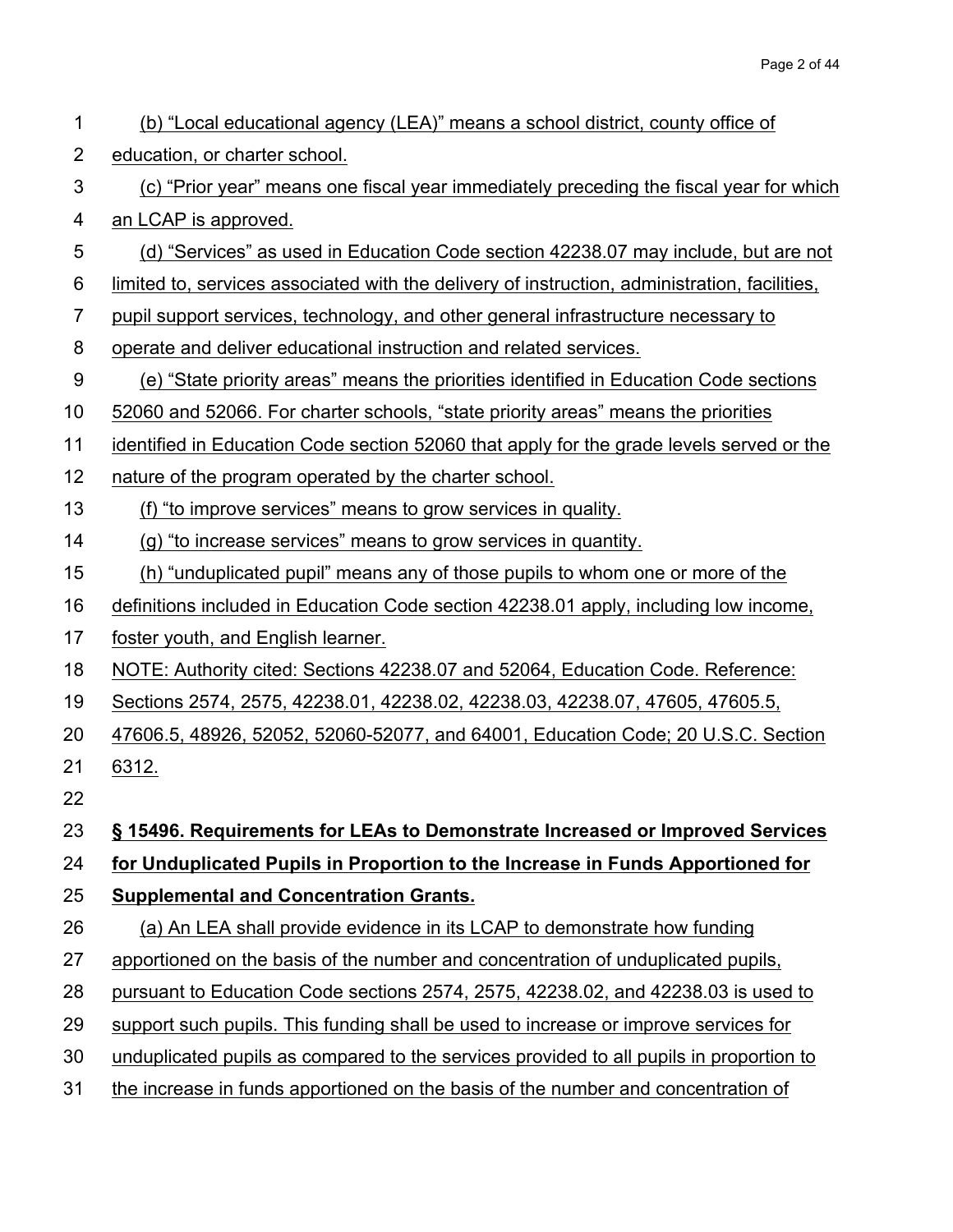| 1              | (b) "Local educational agency (LEA)" means a school district, county office of                |
|----------------|-----------------------------------------------------------------------------------------------|
| $\overline{2}$ | education, or charter school.                                                                 |
| 3              | (c) "Prior year" means one fiscal year immediately preceding the fiscal year for which        |
| 4              | an LCAP is approved.                                                                          |
| 5              | (d) "Services" as used in Education Code section 42238.07 may include, but are not            |
| 6              | limited to, services associated with the delivery of instruction, administration, facilities, |
| $\overline{7}$ | pupil support services, technology, and other general infrastructure necessary to             |
| 8              | operate and deliver educational instruction and related services.                             |
| 9              | (e) "State priority areas" means the priorities identified in Education Code sections         |
| 10             | 52060 and 52066. For charter schools, "state priority areas" means the priorities             |
| 11             | identified in Education Code section 52060 that apply for the grade levels served or the      |
| 12             | nature of the program operated by the charter school.                                         |
| 13             | (f) "to improve services" means to grow services in quality.                                  |
| 14             | (g) "to increase services" means to grow services in quantity.                                |
| 15             | (h) "unduplicated pupil" means any of those pupils to whom one or more of the                 |
| 16             | definitions included in Education Code section 42238.01 apply, including low income,          |
| 17             | foster youth, and English learner.                                                            |
| 18             | NOTE: Authority cited: Sections 42238.07 and 52064, Education Code. Reference:                |
| 19             | Sections 2574, 2575, 42238.01, 42238.02, 42238.03, 42238.07, 47605, 47605.5,                  |
| 20             | 47606.5, 48926, 52052, 52060-52077, and 64001, Education Code; 20 U.S.C. Section              |
| 21             | 6312.                                                                                         |
| 22             |                                                                                               |
| 23             | § 15496. Requirements for LEAs to Demonstrate Increased or Improved Services                  |
| 24             | for Unduplicated Pupils in Proportion to the Increase in Funds Apportioned for                |
| 25             | <b>Supplemental and Concentration Grants.</b>                                                 |
| 26             | (a) An LEA shall provide evidence in its LCAP to demonstrate how funding                      |
| 27             | apportioned on the basis of the number and concentration of unduplicated pupils,              |
| 28             | pursuant to Education Code sections 2574, 2575, 42238.02, and 42238.03 is used to             |
| 29             | support such pupils. This funding shall be used to increase or improve services for           |
| 30             | unduplicated pupils as compared to the services provided to all pupils in proportion to       |
| 31             | the increase in funds apportioned on the basis of the number and concentration of             |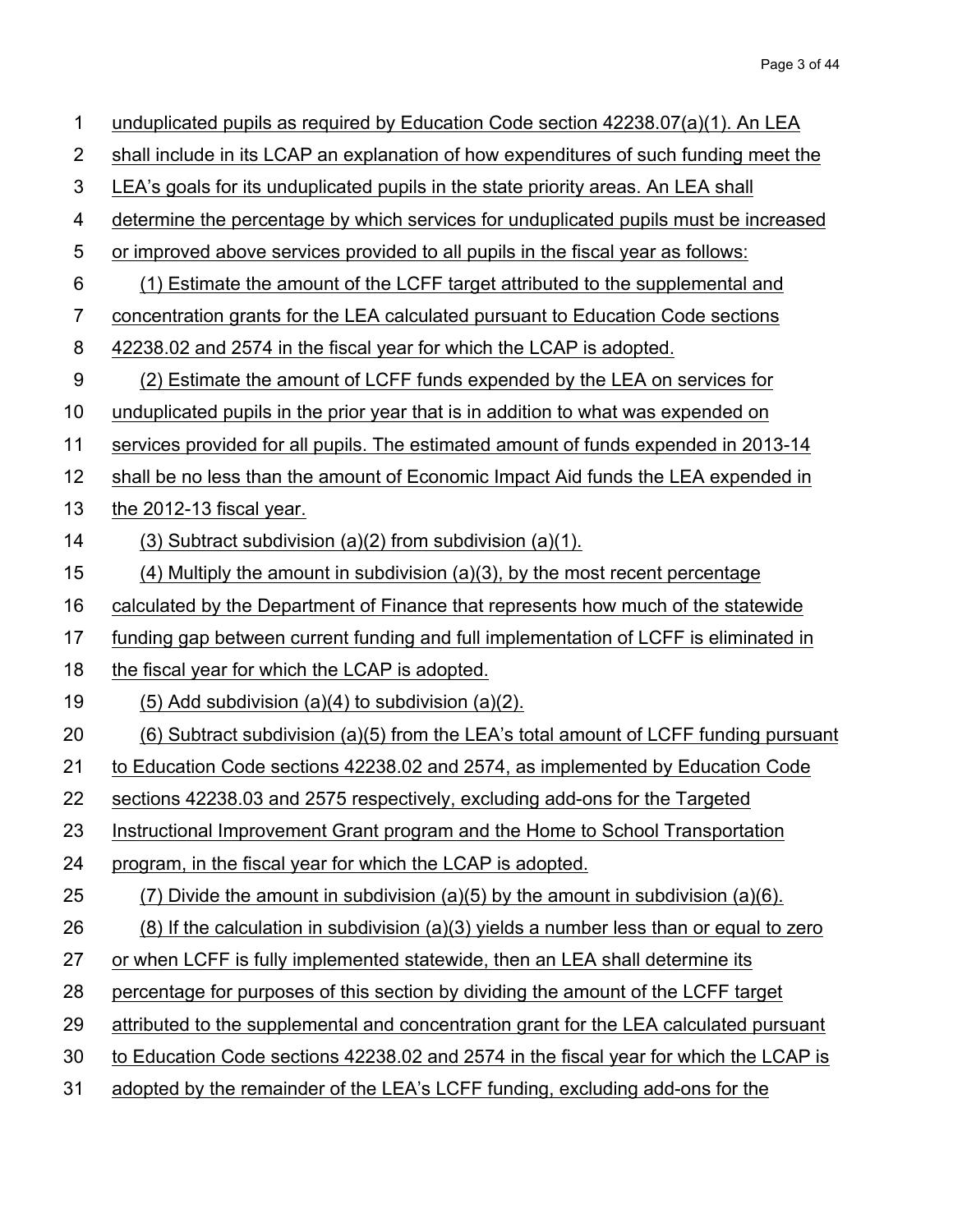| $\mathbf 1$    | unduplicated pupils as required by Education Code section 42238.07(a)(1). An LEA            |
|----------------|---------------------------------------------------------------------------------------------|
| $\overline{2}$ | shall include in its LCAP an explanation of how expenditures of such funding meet the       |
| 3              | LEA's goals for its unduplicated pupils in the state priority areas. An LEA shall           |
| 4              | determine the percentage by which services for unduplicated pupils must be increased        |
| 5              | or improved above services provided to all pupils in the fiscal year as follows:            |
| 6              | (1) Estimate the amount of the LCFF target attributed to the supplemental and               |
| 7              | concentration grants for the LEA calculated pursuant to Education Code sections             |
| 8              | 42238.02 and 2574 in the fiscal year for which the LCAP is adopted.                         |
| 9              | (2) Estimate the amount of LCFF funds expended by the LEA on services for                   |
| 10             | unduplicated pupils in the prior year that is in addition to what was expended on           |
| 11             | services provided for all pupils. The estimated amount of funds expended in 2013-14         |
| 12             | shall be no less than the amount of Economic Impact Aid funds the LEA expended in           |
| 13             | the 2012-13 fiscal year.                                                                    |
| 14             | $(3)$ Subtract subdivision $(a)(2)$ from subdivision $(a)(1)$ .                             |
| 15             | $(4)$ Multiply the amount in subdivision $(a)(3)$ , by the most recent percentage           |
| 16             | calculated by the Department of Finance that represents how much of the statewide           |
| 17             | funding gap between current funding and full implementation of LCFF is eliminated in        |
| 18             | the fiscal year for which the LCAP is adopted.                                              |
| 19             | $(5)$ Add subdivision $(a)(4)$ to subdivision $(a)(2)$ .                                    |
| 20             | (6) Subtract subdivision (a)(5) from the LEA's total amount of LCFF funding pursuant        |
| 21             | to Education Code sections 42238.02 and 2574, as implemented by Education Code              |
| 22             | sections 42238.03 and 2575 respectively, excluding add-ons for the Targeted                 |
| 23             | Instructional Improvement Grant program and the Home to School Transportation               |
| 24             | program, in the fiscal year for which the LCAP is adopted.                                  |
| 25             | $(7)$ Divide the amount in subdivision (a)(5) by the amount in subdivision (a)(6).          |
| 26             | $(8)$ If the calculation in subdivision $(a)(3)$ yields a number less than or equal to zero |
| 27             | or when LCFF is fully implemented statewide, then an LEA shall determine its                |
| 28             | percentage for purposes of this section by dividing the amount of the LCFF target           |
| 29             | attributed to the supplemental and concentration grant for the LEA calculated pursuant      |
| 30             | to Education Code sections 42238.02 and 2574 in the fiscal year for which the LCAP is       |
| 31             | adopted by the remainder of the LEA's LCFF funding, excluding add-ons for the               |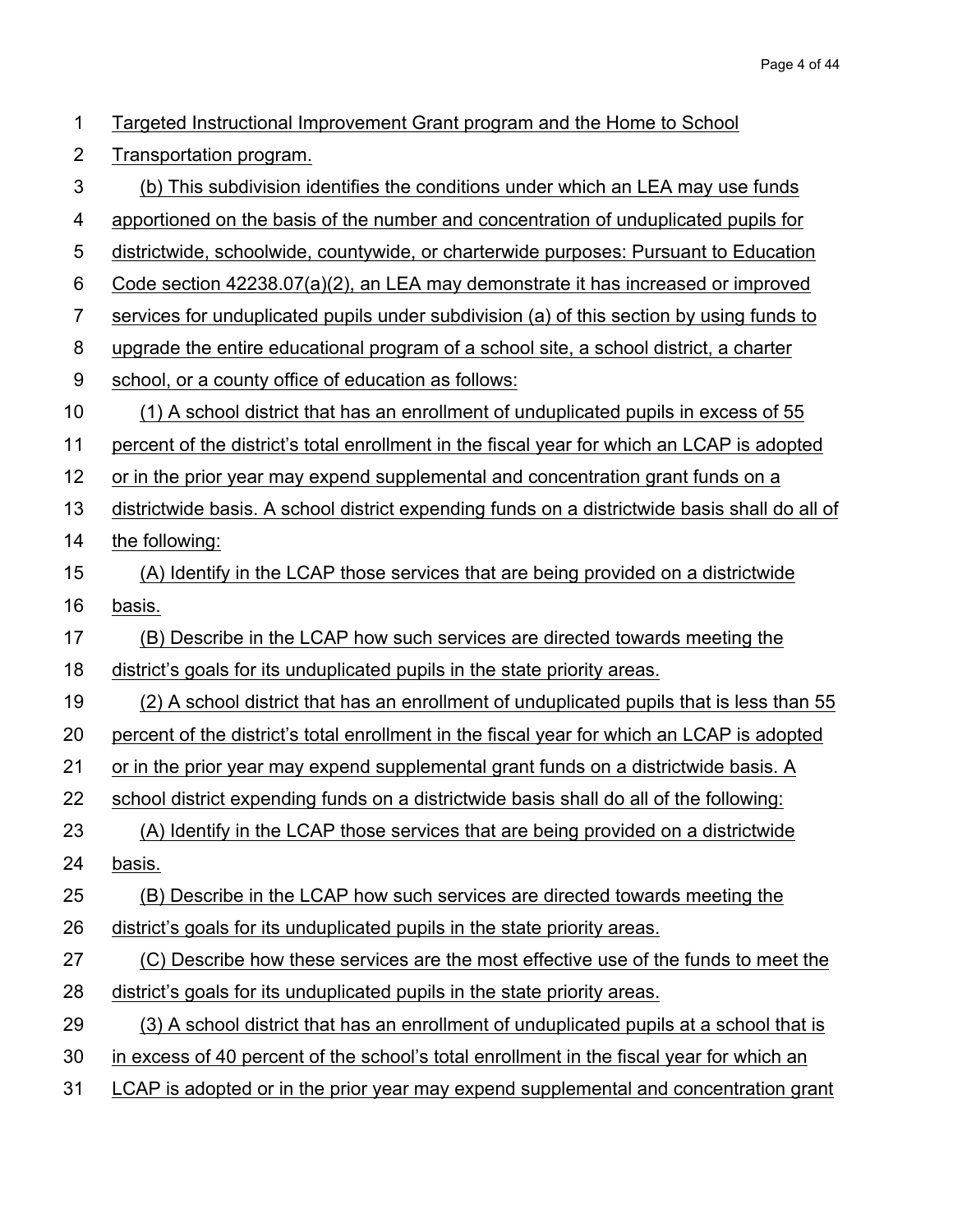| $\mathbf 1$    | Targeted Instructional Improvement Grant program and the Home to School                       |
|----------------|-----------------------------------------------------------------------------------------------|
| $\overline{2}$ | Transportation program.                                                                       |
| 3              | (b) This subdivision identifies the conditions under which an LEA may use funds               |
| 4              | apportioned on the basis of the number and concentration of unduplicated pupils for           |
| 5              | districtwide, schoolwide, countywide, or charterwide purposes: Pursuant to Education          |
| 6              | Code section 42238.07(a)(2), an LEA may demonstrate it has increased or improved              |
| $\overline{7}$ | services for unduplicated pupils under subdivision (a) of this section by using funds to      |
| 8              | upgrade the entire educational program of a school site, a school district, a charter         |
| $9\,$          | school, or a county office of education as follows:                                           |
| 10             | (1) A school district that has an enrollment of unduplicated pupils in excess of 55           |
| 11             | percent of the district's total enrollment in the fiscal year for which an LCAP is adopted    |
| 12             | or in the prior year may expend supplemental and concentration grant funds on a               |
| 13             | districtwide basis. A school district expending funds on a districtwide basis shall do all of |
| 14             | the following:                                                                                |
| 15             | (A) Identify in the LCAP those services that are being provided on a districtwide             |
| 16             | basis.                                                                                        |
| 17             | (B) Describe in the LCAP how such services are directed towards meeting the                   |
| 18             | district's goals for its unduplicated pupils in the state priority areas.                     |
| 19             | (2) A school district that has an enrollment of unduplicated pupils that is less than 55      |
| 20             | percent of the district's total enrollment in the fiscal year for which an LCAP is adopted    |
| 21             | or in the prior year may expend supplemental grant funds on a districtwide basis. A           |
| 22             | school district expending funds on a districtwide basis shall do all of the following:        |
| 23             | (A) Identify in the LCAP those services that are being provided on a districtwide             |
| 24             | basis.                                                                                        |
| 25             | (B) Describe in the LCAP how such services are directed towards meeting the                   |
| 26             | district's goals for its unduplicated pupils in the state priority areas.                     |
| 27             | (C) Describe how these services are the most effective use of the funds to meet the           |
| 28             | district's goals for its unduplicated pupils in the state priority areas.                     |
| 29             | (3) A school district that has an enrollment of unduplicated pupils at a school that is       |
| 30             | in excess of 40 percent of the school's total enrollment in the fiscal year for which an      |
| 31             | LCAP is adopted or in the prior year may expend supplemental and concentration grant          |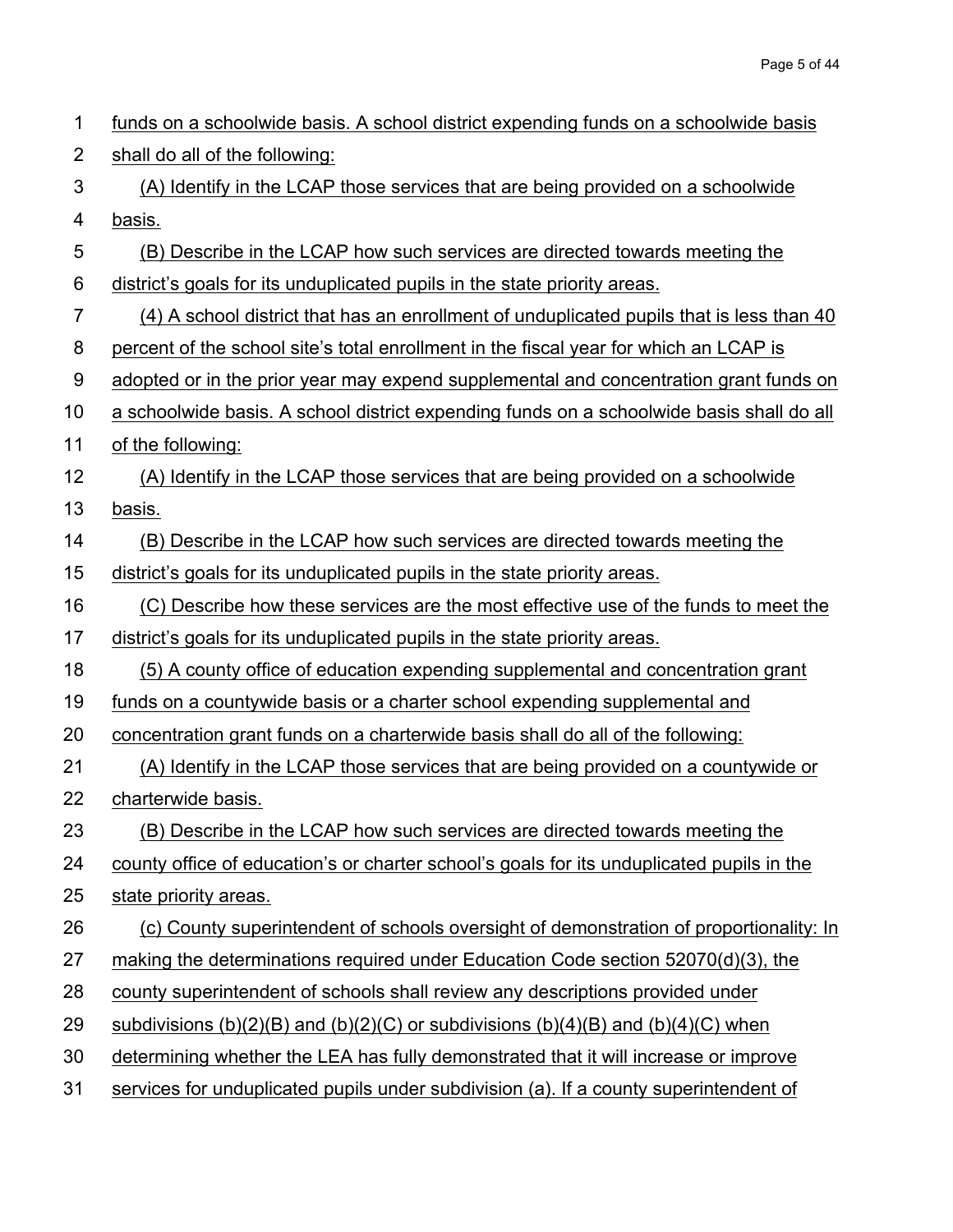| 1              | funds on a schoolwide basis. A school district expending funds on a schoolwide basis      |
|----------------|-------------------------------------------------------------------------------------------|
| $\overline{2}$ | shall do all of the following:                                                            |
| 3              | (A) Identify in the LCAP those services that are being provided on a schoolwide           |
| 4              | basis.                                                                                    |
| 5              | (B) Describe in the LCAP how such services are directed towards meeting the               |
| 6              | district's goals for its unduplicated pupils in the state priority areas.                 |
| $\overline{7}$ | (4) A school district that has an enrollment of unduplicated pupils that is less than 40  |
| 8              | percent of the school site's total enrollment in the fiscal year for which an LCAP is     |
| 9              | adopted or in the prior year may expend supplemental and concentration grant funds on     |
| 10             | a schoolwide basis. A school district expending funds on a schoolwide basis shall do all  |
| 11             | of the following:                                                                         |
| 12             | (A) Identify in the LCAP those services that are being provided on a schoolwide           |
| 13             | basis.                                                                                    |
| 14             | (B) Describe in the LCAP how such services are directed towards meeting the               |
| 15             | district's goals for its unduplicated pupils in the state priority areas.                 |
| 16             | (C) Describe how these services are the most effective use of the funds to meet the       |
| 17             | district's goals for its unduplicated pupils in the state priority areas.                 |
| 18             | (5) A county office of education expending supplemental and concentration grant           |
| 19             | funds on a countywide basis or a charter school expending supplemental and                |
| 20             | concentration grant funds on a charterwide basis shall do all of the following:           |
| 21             | (A) Identify in the LCAP those services that are being provided on a countywide or        |
| 22             | charterwide basis.                                                                        |
| 23             | (B) Describe in the LCAP how such services are directed towards meeting the               |
| 24             | county office of education's or charter school's goals for its unduplicated pupils in the |
| 25             | state priority areas.                                                                     |
| 26             | (c) County superintendent of schools oversight of demonstration of proportionality: In    |
| 27             | making the determinations required under Education Code section 52070(d)(3), the          |
| 28             | county superintendent of schools shall review any descriptions provided under             |
| 29             | subdivisions (b)(2)(B) and (b)(2)(C) or subdivisions (b)(4)(B) and (b)(4)(C) when         |
| 30             | determining whether the LEA has fully demonstrated that it will increase or improve       |
| 31             | services for unduplicated pupils under subdivision (a). If a county superintendent of     |